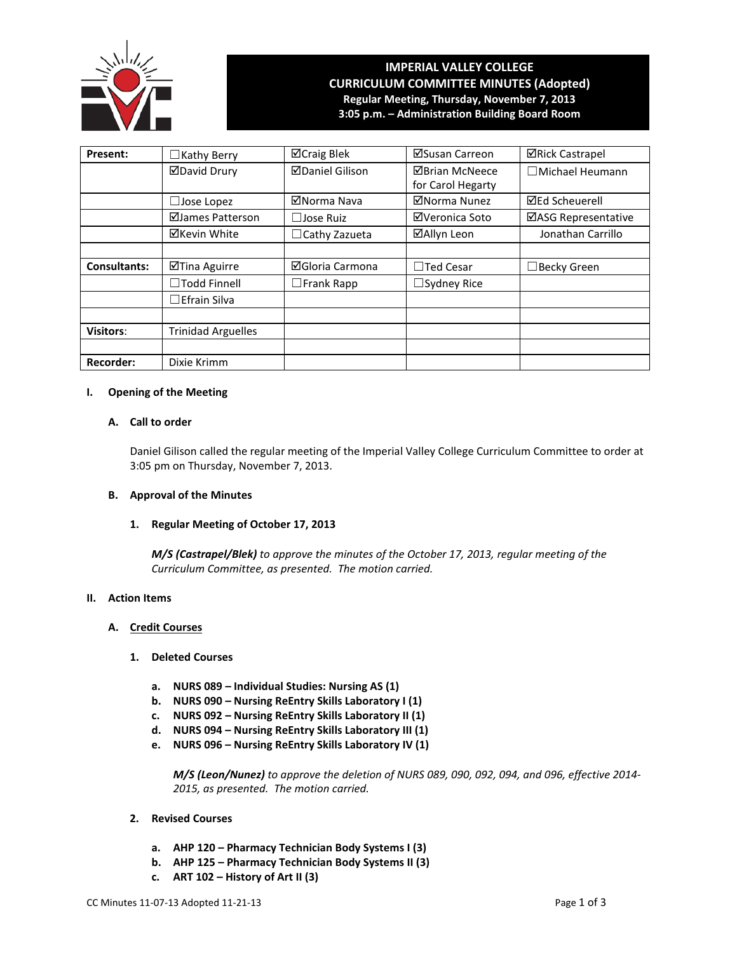

# **IMPERIAL VALLEY COLLEGE CURRICULUM COMMITTEE MINUTES (Adopted) Regular Meeting, Thursday, November 7, 2013 3:05 p.m. – Administration Building Board Room**

| Present:            | $\Box$ Kathy Berry        | ⊠Craig Blek            | ⊠Susan Carreon        | <b>⊠Rick Castrapel</b> |
|---------------------|---------------------------|------------------------|-----------------------|------------------------|
|                     | <b>ØDavid Drury</b>       | <b>ØDaniel Gilison</b> | <b>⊠Brian McNeece</b> | □ Michael Heumann      |
|                     |                           |                        | for Carol Hegarty     |                        |
|                     | $\Box$ Jose Lopez         | ⊠Norma Nava            | ⊠Norma Nunez          | <b>⊠Ed Scheuerell</b>  |
|                     | ⊠James Patterson          | $\Box$ Jose Ruiz       | ⊠Veronica Soto        | ⊠ASG Representative    |
|                     | ⊠Kevin White              | $\Box$ Cathy Zazueta   | ⊠Allyn Leon           | Jonathan Carrillo      |
|                     |                           |                        |                       |                        |
| <b>Consultants:</b> | ⊠Tina Aguirre             | ⊠Gloria Carmona        | $\Box$ Ted Cesar      | $\Box$ Becky Green     |
|                     | $\Box$ Todd Finnell       | $\Box$ Frank Rapp      | $\Box$ Sydney Rice    |                        |
|                     | $\Box$ Efrain Silva       |                        |                       |                        |
|                     |                           |                        |                       |                        |
| <b>Visitors:</b>    | <b>Trinidad Arguelles</b> |                        |                       |                        |
|                     |                           |                        |                       |                        |
| Recorder:           | Dixie Krimm               |                        |                       |                        |

# **I. Opening of the Meeting**

# **A. Call to order**

Daniel Gilison called the regular meeting of the Imperial Valley College Curriculum Committee to order at 3:05 pm on Thursday, November 7, 2013.

# **B. Approval of the Minutes**

# **1. Regular Meeting of October 17, 2013**

*M/S (Castrapel/Blek) to approve the minutes of the October 17, 2013, regular meeting of the Curriculum Committee, as presented. The motion carried.*

# **II. Action Items**

# **A. Credit Courses**

- **1. Deleted Courses**
	- **a. NURS 089 – Individual Studies: Nursing AS (1)**
	- **b. NURS 090 – Nursing ReEntry Skills Laboratory I (1)**
	- **c. NURS 092 – Nursing ReEntry Skills Laboratory II (1)**
	- **d. NURS 094 – Nursing ReEntry Skills Laboratory III (1)**
	- **e. NURS 096 – Nursing ReEntry Skills Laboratory IV (1)**

*M/S (Leon/Nunez) to approve the deletion of NURS 089, 090, 092, 094, and 096, effective 2014- 2015, as presented. The motion carried.*

- **2. Revised Courses**
	- **a. AHP 120 – Pharmacy Technician Body Systems I (3)**
	- **b. AHP 125 – Pharmacy Technician Body Systems II (3)**
	- **c. ART 102 – History of Art II (3)**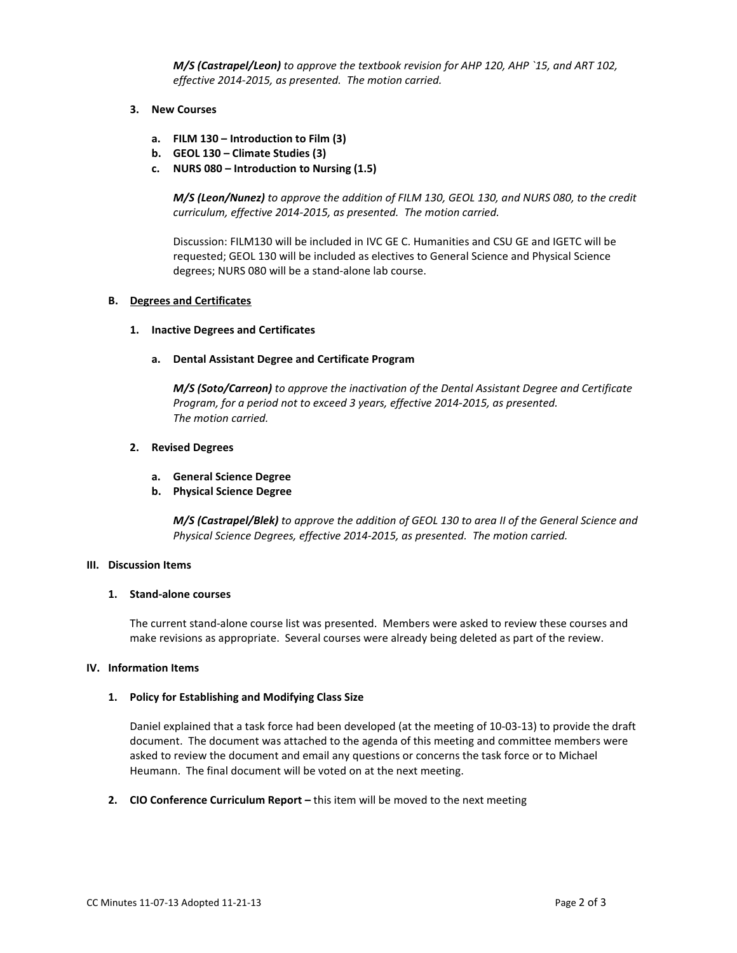*M/S (Castrapel/Leon) to approve the textbook revision for AHP 120, AHP `15, and ART 102, effective 2014-2015, as presented. The motion carried.*

- **3. New Courses**
	- **a. FILM 130 – Introduction to Film (3)**
	- **b. GEOL 130 – Climate Studies (3)**
	- **c. NURS 080 – Introduction to Nursing (1.5)**

*M/S (Leon/Nunez) to approve the addition of FILM 130, GEOL 130, and NURS 080, to the credit curriculum, effective 2014-2015, as presented. The motion carried.*

Discussion: FILM130 will be included in IVC GE C. Humanities and CSU GE and IGETC will be requested; GEOL 130 will be included as electives to General Science and Physical Science degrees; NURS 080 will be a stand-alone lab course.

# **B. Degrees and Certificates**

#### **1. Inactive Degrees and Certificates**

#### **a. Dental Assistant Degree and Certificate Program**

*M/S (Soto/Carreon) to approve the inactivation of the Dental Assistant Degree and Certificate Program, for a period not to exceed 3 years, effective 2014-2015, as presented. The motion carried.*

# **2. Revised Degrees**

- **a. General Science Degree**
- **b. Physical Science Degree**

*M/S (Castrapel/Blek) to approve the addition of GEOL 130 to area II of the General Science and Physical Science Degrees, effective 2014-2015, as presented. The motion carried.*

#### **III. Discussion Items**

#### **1. Stand-alone courses**

The current stand-alone course list was presented. Members were asked to review these courses and make revisions as appropriate. Several courses were already being deleted as part of the review.

#### **IV. Information Items**

# **1. Policy for Establishing and Modifying Class Size**

Daniel explained that a task force had been developed (at the meeting of 10-03-13) to provide the draft document. The document was attached to the agenda of this meeting and committee members were asked to review the document and email any questions or concerns the task force or to Michael Heumann. The final document will be voted on at the next meeting.

**2. CIO Conference Curriculum Report –** this item will be moved to the next meeting